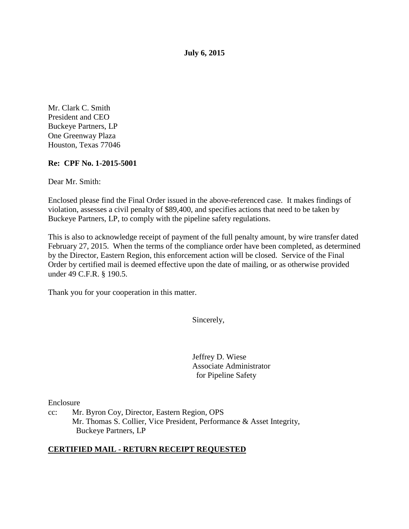**July 6, 2015** 

Mr. Clark C. Smith President and CEO Buckeye Partners, LP One Greenway Plaza Houston, Texas 77046

## **Re: CPF No. 1-2015-5001**

Dear Mr. Smith:

Enclosed please find the Final Order issued in the above-referenced case. It makes findings of violation, assesses a civil penalty of \$89,400, and specifies actions that need to be taken by Buckeye Partners, LP, to comply with the pipeline safety regulations.

This is also to acknowledge receipt of payment of the full penalty amount, by wire transfer dated February 27, 2015. When the terms of the compliance order have been completed, as determined by the Director, Eastern Region, this enforcement action will be closed. Service of the Final Order by certified mail is deemed effective upon the date of mailing, or as otherwise provided under 49 C.F.R. § 190.5.

Thank you for your cooperation in this matter.

Sincerely,

Jeffrey D. Wiese Associate Administrator for Pipeline Safety

Enclosure

cc: Mr. Byron Coy, Director, Eastern Region, OPS Mr. Thomas S. Collier, Vice President, Performance & Asset Integrity, Buckeye Partners, LP

#### **CERTIFIED MAIL - RETURN RECEIPT REQUESTED**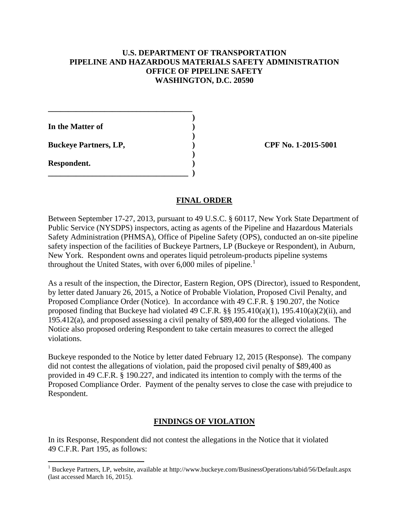### **U.S. DEPARTMENT OF TRANSPORTATION PIPELINE AND HAZARDOUS MATERIALS SAFETY ADMINISTRATION OFFICE OF PIPELINE SAFETY WASHINGTON, D.C. 20590**

 **) In the Matter of )** 

**Buckeye Partners, LP,**  (2015-5001)

**\_\_\_\_\_\_\_\_\_\_\_\_\_\_\_\_\_\_\_\_\_\_\_\_\_\_\_\_\_\_\_\_\_\_\_\_** 

 **)** 

 **)** 

**\_\_\_\_\_\_\_\_\_\_\_\_\_\_\_\_\_\_\_\_\_\_\_\_\_\_\_\_\_\_\_\_\_\_\_ )** 

**Respondent. )** 

 $\overline{a}$ 

## **FINAL ORDER**

Between September 17-27, 2013, pursuant to 49 U.S.C. § 60117, New York State Department of Public Service (NYSDPS) inspectors, acting as agents of the Pipeline and Hazardous Materials Safety Administration (PHMSA), Office of Pipeline Safety (OPS), conducted an on-site pipeline safety inspection of the facilities of Buckeye Partners, LP (Buckeye or Respondent), in Auburn, New York. Respondent owns and operates liquid petroleum-products pipeline systems throughout the United States, with over  $6,000$  miles of pipeline.<sup>1</sup>

As a result of the inspection, the Director, Eastern Region, OPS (Director), issued to Respondent, by letter dated January 26, 2015, a Notice of Probable Violation, Proposed Civil Penalty, and Proposed Compliance Order (Notice). In accordance with 49 C.F.R. § 190.207, the Notice proposed finding that Buckeye had violated 49 C.F.R.  $\S$ § 195.410(a)(1), 195.410(a)(2)(ii), and 195.412(a), and proposed assessing a civil penalty of \$89,400 for the alleged violations. The Notice also proposed ordering Respondent to take certain measures to correct the alleged violations.

Buckeye responded to the Notice by letter dated February 12, 2015 (Response). The company did not contest the allegations of violation, paid the proposed civil penalty of \$89,400 as provided in 49 C.F.R. § 190.227, and indicated its intention to comply with the terms of the Proposed Compliance Order. Payment of the penalty serves to close the case with prejudice to Respondent.

## **FINDINGS OF VIOLATION**

In its Response, Respondent did not contest the allegations in the Notice that it violated 49 C.F.R. Part 195, as follows:

<sup>&</sup>lt;sup>1</sup> Buckeye Partners, LP, website, available at http://www.buckeye.com/BusinessOperations/tabid/56/Default.aspx (last accessed March 16, 2015).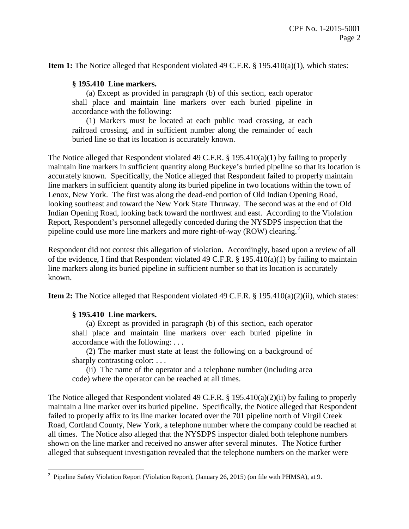**Item 1:** The Notice alleged that Respondent violated 49 C.F.R. § 195.410(a)(1), which states:

#### **§ 195.410 Line markers.**

(a) Except as provided in paragraph (b) of this section, each operator shall place and maintain line markers over each buried pipeline in accordance with the following:

(1) Markers must be located at each public road crossing, at each railroad crossing, and in sufficient number along the remainder of each buried line so that its location is accurately known.

The Notice alleged that Respondent violated 49 C.F.R. § 195.410(a)(1) by failing to properly maintain line markers in sufficient quantity along Buckeye's buried pipeline so that its location is accurately known. Specifically, the Notice alleged that Respondent failed to properly maintain line markers in sufficient quantity along its buried pipeline in two locations within the town of Lenox, New York. The first was along the dead-end portion of Old Indian Opening Road, looking southeast and toward the New York State Thruway. The second was at the end of Old Indian Opening Road, looking back toward the northwest and east. According to the Violation Report, Respondent's personnel allegedly conceded during the NYSDPS inspection that the pipeline could use more line markers and more right-of-way (ROW) clearing.<sup>2</sup>

Respondent did not contest this allegation of violation. Accordingly, based upon a review of all of the evidence, I find that Respondent violated 49 C.F.R. § 195.410(a)(1) by failing to maintain line markers along its buried pipeline in sufficient number so that its location is accurately known.

**Item 2:** The Notice alleged that Respondent violated 49 C.F.R. § 195.410(a)(2)(ii), which states:

#### **§ 195.410 Line markers.**

(a) Except as provided in paragraph (b) of this section, each operator shall place and maintain line markers over each buried pipeline in accordance with the following: . . .

 (2) The marker must state at least the following on a background of sharply contrasting color: ...

(ii) The name of the operator and a telephone number (including area code) where the operator can be reached at all times.

The Notice alleged that Respondent violated 49 C.F.R.  $\S$  195.410(a)(2)(ii) by failing to properly maintain a line marker over its buried pipeline. Specifically, the Notice alleged that Respondent failed to properly affix to its line marker located over the 701 pipeline north of Virgil Creek Road, Cortland County, New York, a telephone number where the company could be reached at all times. The Notice also alleged that the NYSDPS inspector dialed both telephone numbers shown on the line marker and received no answer after several minutes. The Notice further alleged that subsequent investigation revealed that the telephone numbers on the marker were

<sup>&</sup>lt;sup>2</sup> Pipeline Safety Violation Report (Violation Report), (January 26, 2015) (on file with PHMSA), at 9.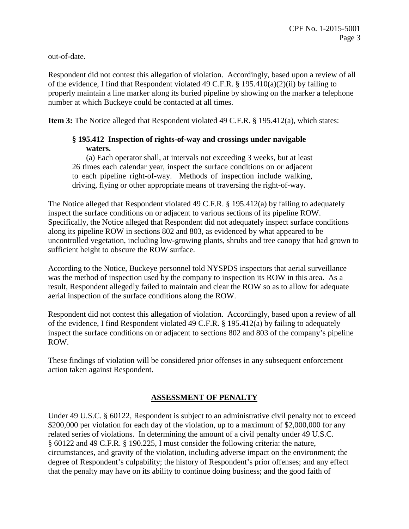out-of-date.

Respondent did not contest this allegation of violation. Accordingly, based upon a review of all of the evidence, I find that Respondent violated 49 C.F.R. § 195.410(a)(2)(ii) by failing to properly maintain a line marker along its buried pipeline by showing on the marker a telephone number at which Buckeye could be contacted at all times.

**Item 3:** The Notice alleged that Respondent violated 49 C.F.R. § 195.412(a), which states:

# **§ 195.412 Inspection of rights-of-way and crossings under navigable waters.**

(a) Each operator shall, at intervals not exceeding 3 weeks, but at least 26 times each calendar year, inspect the surface conditions on or adjacent to each pipeline right-of-way. Methods of inspection include walking, driving, flying or other appropriate means of traversing the right-of-way.

The Notice alleged that Respondent violated 49 C.F.R. § 195.412(a) by failing to adequately inspect the surface conditions on or adjacent to various sections of its pipeline ROW. Specifically, the Notice alleged that Respondent did not adequately inspect surface conditions along its pipeline ROW in sections 802 and 803, as evidenced by what appeared to be uncontrolled vegetation, including low-growing plants, shrubs and tree canopy that had grown to sufficient height to obscure the ROW surface.

According to the Notice, Buckeye personnel told NYSPDS inspectors that aerial surveillance was the method of inspection used by the company to inspection its ROW in this area. As a result, Respondent allegedly failed to maintain and clear the ROW so as to allow for adequate aerial inspection of the surface conditions along the ROW.

Respondent did not contest this allegation of violation. Accordingly, based upon a review of all of the evidence, I find Respondent violated 49 C.F.R. § 195.412(a) by failing to adequately inspect the surface conditions on or adjacent to sections 802 and 803 of the company's pipeline ROW.

These findings of violation will be considered prior offenses in any subsequent enforcement action taken against Respondent.

# **ASSESSMENT OF PENALTY**

Under 49 U.S.C. § 60122, Respondent is subject to an administrative civil penalty not to exceed \$200,000 per violation for each day of the violation, up to a maximum of \$2,000,000 for any related series of violations. In determining the amount of a civil penalty under 49 U.S.C. § 60122 and 49 C.F.R. § 190.225, I must consider the following criteria: the nature, circumstances, and gravity of the violation, including adverse impact on the environment; the degree of Respondent's culpability; the history of Respondent's prior offenses; and any effect that the penalty may have on its ability to continue doing business; and the good faith of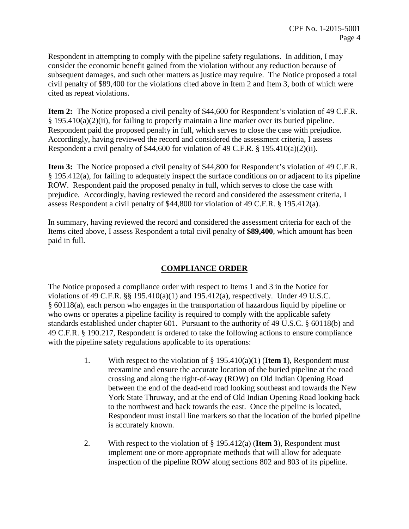Respondent in attempting to comply with the pipeline safety regulations. In addition, I may consider the economic benefit gained from the violation without any reduction because of subsequent damages, and such other matters as justice may require. The Notice proposed a total civil penalty of \$89,400 for the violations cited above in Item 2 and Item 3, both of which were cited as repeat violations.

**Item 2:** The Notice proposed a civil penalty of \$44,600 for Respondent's violation of 49 C.F.R.  $§$  195.410(a)(2)(ii), for failing to properly maintain a line marker over its buried pipeline. Respondent paid the proposed penalty in full, which serves to close the case with prejudice. Accordingly, having reviewed the record and considered the assessment criteria, I assess Respondent a civil penalty of \$44,600 for violation of 49 C.F.R. § 195.410(a)(2)(ii).

**Item 3:** The Notice proposed a civil penalty of \$44,800 for Respondent's violation of 49 C.F.R. § 195.412(a), for failing to adequately inspect the surface conditions on or adjacent to its pipeline ROW. Respondent paid the proposed penalty in full, which serves to close the case with prejudice. Accordingly, having reviewed the record and considered the assessment criteria, I assess Respondent a civil penalty of \$44,800 for violation of 49 C.F.R. § 195.412(a).

In summary, having reviewed the record and considered the assessment criteria for each of the Items cited above, I assess Respondent a total civil penalty of **\$89,400**, which amount has been paid in full.

# **COMPLIANCE ORDER**

The Notice proposed a compliance order with respect to Items 1 and 3 in the Notice for violations of 49 C.F.R.  $\S$ § 195.410(a)(1) and 195.412(a), respectively. Under 49 U.S.C. § 60118(a), each person who engages in the transportation of hazardous liquid by pipeline or who owns or operates a pipeline facility is required to comply with the applicable safety standards established under chapter 601. Pursuant to the authority of 49 U.S.C. § 60118(b) and 49 C.F.R. § 190.217, Respondent is ordered to take the following actions to ensure compliance with the pipeline safety regulations applicable to its operations:

- 1. With respect to the violation of § 195.410(a)(1) (**Item 1**), Respondent must reexamine and ensure the accurate location of the buried pipeline at the road crossing and along the right-of-way (ROW) on Old Indian Opening Road between the end of the dead-end road looking southeast and towards the New York State Thruway, and at the end of Old Indian Opening Road looking back to the northwest and back towards the east. Once the pipeline is located, Respondent must install line markers so that the location of the buried pipeline is accurately known.
- 2. With respect to the violation of § 195.412(a) (**Item 3**), Respondent must implement one or more appropriate methods that will allow for adequate inspection of the pipeline ROW along sections 802 and 803 of its pipeline.